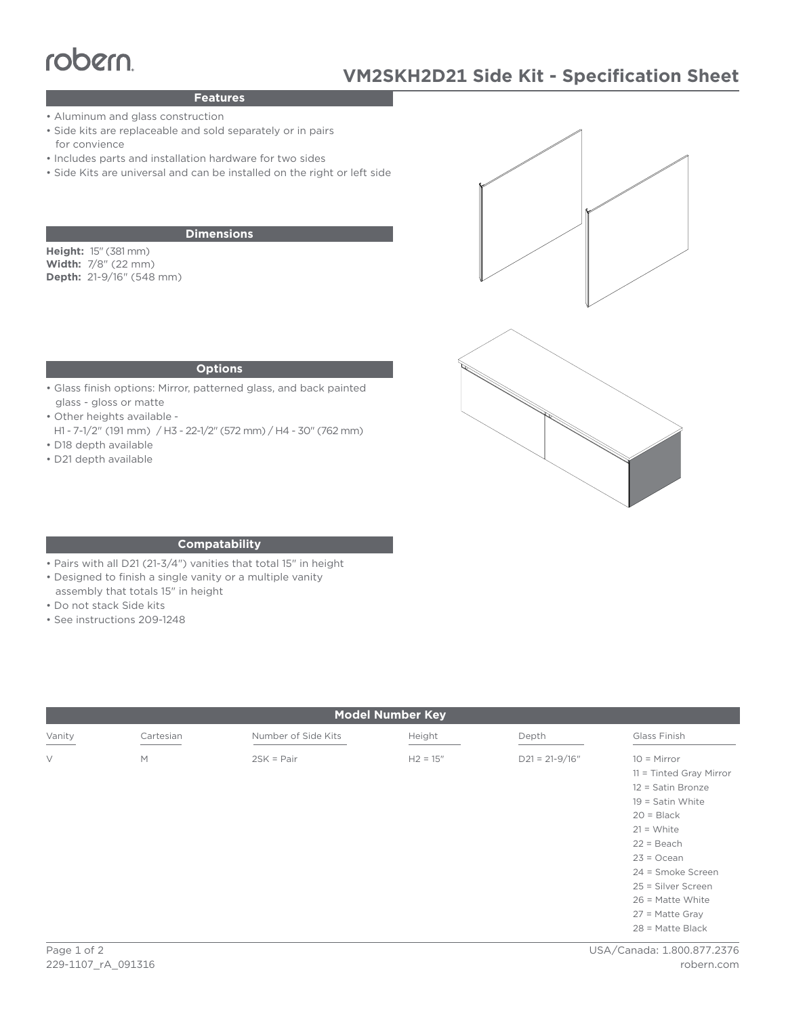# TODEM<br>Peatures MANUSKI

# **Features**

- Aluminum and glass construction
- Side kits are replaceable and sold separately or in pairs for convience
- Includes parts and installation hardware for two sides
- Side Kits are universal and can be installed on the right or left side

## **Dimensions**

**Height:** 15" (381 mm) **Width:** 7/8" (22 mm) **Depth:** 21-9/16" (548 mm)





### **Options**

- Glass finish options: Mirror, patterned glass, and back painted glass - gloss or matte
- Other heights available -
- H1 7-1/2" (191 mm) / H3 22-1/2" (572 mm) / H4 30" (762 mm) • D18 depth available
- D21 depth available

### **Compatability**

- Pairs with all D21 (21-3/4") vanities that total 15" in height
- Designed to finish a single vanity or a multiple vanity
- assembly that totals 15" in height
- Do not stack Side kits
- See instructions 209-1248

| <b>Model Number Key</b> |           |                     |            |                  |                                                                                                                                                                                                                        |
|-------------------------|-----------|---------------------|------------|------------------|------------------------------------------------------------------------------------------------------------------------------------------------------------------------------------------------------------------------|
| Vanity                  | Cartesian | Number of Side Kits | Height     | Depth            | Glass Finish                                                                                                                                                                                                           |
| $\vee$                  | M         | $2SK = Pair$        | $H2 = 15"$ | $D21 = 21-9/16"$ | $10 =$ Mirror<br>$11 =$ Tinted Gray Mirror<br>12 = Satin Bronze<br>$19 =$ Satin White<br>$20 = Black$<br>$21 = White$<br>$22 = Beach$<br>$23 = Ocean$<br>24 = Smoke Screen<br>25 = Silver Screen<br>$26$ = Matte White |
|                         |           |                     |            |                  | $27$ = Matte Gray<br>$28$ = Matte Black                                                                                                                                                                                |